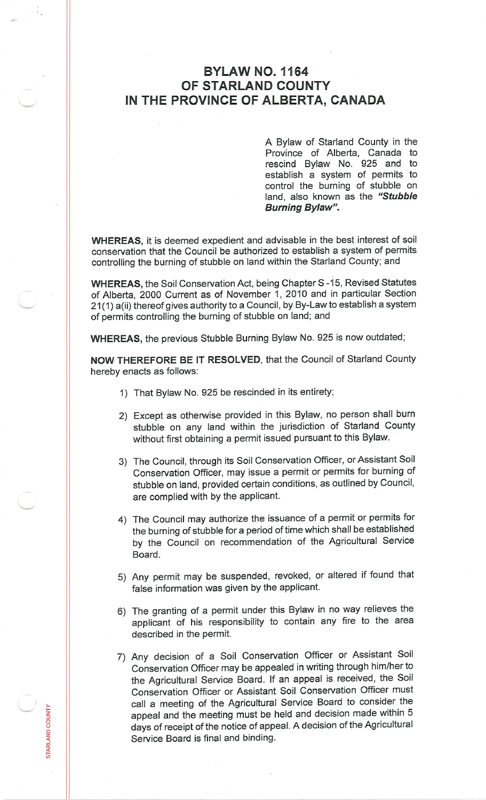## **BYLAW NO. 1164 OF STARLAND COUNTY IN THE PROVINCE OF ALBERTA, CANADA**

A Bylaw of Starland County in the Province of Alberta, Canada to rescind Bylaw No. 925 and to establish <sup>a</sup> system of permits to control the burning of stubble on land, also known as the *"Stubble Burning Bylaw".*

**WHEREAS,** it is deemed expedient and advisable in the best interest of soil conservation that the Council be authorized to establish <sup>a</sup> system of permits controlling the burning of stubble on land within the Starland County; and

**WHEREAS,** the Soil Conservation Act, being Chapter S -15, Revised Statutes of Alberta, 2000 Current as of November 1, 2010 and in particular Section 21(1) a(ii) thereof gives authority to <sup>a</sup> Council, by By-Law to establish <sup>a</sup> system of permits controlling the burning of stubble on land; and

**WHEREAS,** the previous Stubble Burning Bylaw No. <sup>925</sup> is now outdated;

**NOW THEREFORE BE IT RESOLVED,** that the Council of Starland County hereby enacts as follows:

- 1) That Bylaw No. <sup>925</sup> be rescinded in its entirety;
- <sup>2</sup>) Except as otherwise provided in this Bylaw, no person shall burn stubble on any land within the jurisdiction of Starland County without first obtaining <sup>a</sup> permit issued pursuant to this Bylaw.
- <sup>3</sup>) The Council, through its Soil Conservation Officer, or Assistant Soil Conservation Officer, may issue <sup>a</sup> permit or permits for burning of stubble on land, provided certain conditions, as outlined by Council, are complied with by the applicant.
- <sup>4</sup>) The Council may authorize the issuance of <sup>a</sup> permit or permits for the burning of stubble for a period of time which shall be established by the Council on recommendation of the Agricultural Service Board.
- 5) Any permit may be suspended, revoked, or altered if found that false information was given by the applicant.
- 6) The granting of <sup>a</sup> permit under this Bylaw in no way relieves the applicant of his responsibility to contain any fire to the area described in the permit.
- <sup>7</sup>) Any decision of <sup>a</sup> Soil Conservation Officer or Assistant Soil Conservation Officer may be appealed in writing through him/her to the Agricultural Service Board. If an appeal is received, the Soil Conservation Officer or Assistant Soil Conservation Officer must call <sup>a</sup> meeting of the Agricultural Service Board to consider the appeal and the meeting must be held and decision made within <sup>5</sup> days of receipt of the notice of appeal. <sup>A</sup> decision of the Agricultural Service Board is final and binding.

**o**

**RLA**  $\frac{8}{10}$